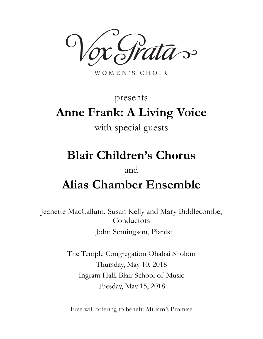$\mathcal{S}$ 

WOMEN'S CHOIR

# presents **Anne Frank: A Living Voice**

## with special guests

# **Blair Children's Chorus**

### and

# **Alias Chamber Ensemble**

Jeanette MacCallum, Susan Kelly and Mary Biddlecombe, Conductors John Semingson, Pianist

> The Temple Congregation Ohabai Sholom Thursday, May 10, 2018 Ingram Hall, Blair School of Music Tuesday, May 15, 2018

Free-will offering to benefit Miriam's Promise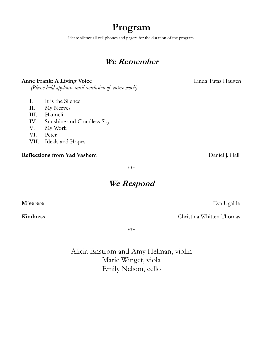## **Program**

Please silence all cell phones and pagers for the duration of the program.

### **We Remember**

### **Anne Frank: A Living Voice Linda Tutas Haugen**

 *(Please hold applause until conclusion of entire work)*

- I. It is the Silence
- II. My Nerves
- III. Hanneli
- IV. Sunshine and Cloudless Sky
- V. My Work
- VI. Peter
- VII. Ideals and Hopes

#### **Reflections from Yad Vashem Daniel J. Hall**

\*\*\*

### **We Respond**

**Miserere** Eva Ugalde

**Kindness** Christina Whitten Thomas

\*\*\*

Alicia Enstrom and Amy Helman, violin Marie Winget, viola Emily Nelson, cello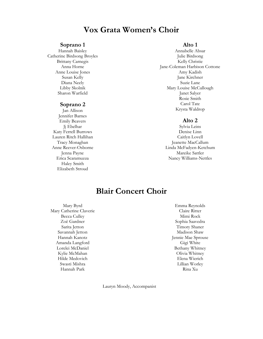### **Vox Grata Women's Choir**

#### **Soprano 1**

Hannah Baisley Catherine Birdsong Broyles Brittany Carnegis Anna Horne Anne Louise Jones Susan Kelly Diana Neely Libby Skolnik Sharon Warfield

#### **Soprano 2**

Jan Allison Jennifer Barnes Emily Beavers Jj Ebelhar Katy Ferrell Burrows Lauren Ritch Hallihan Tracy Monaghan Anne Reever-Osborne Jenna Payne Erica Scaramuzza Haley Smith Elizabeth Stroud

#### **Alto 1**

Annabelle Absar Julie Birdsong Kelly Christie Jane-Coleman Harbison Cottone Amy Kadish Jane Kirchner Suzie Lane Mary Louise McCullough Janet Salyer Rosie Smith Carol Tate Krysta Waldrop

#### **Alto 2**

Sylvia Leins Denise Linn Caitlyn Lovell Jeanette MacCallum Linda McFadyen-Ketchum Mareike Sattler Nancy Williams-Nettles

### **Blair Concert Choir**

Mary Byrd Mary Catherine Claverie Becca Culley Zoë Gardner Sarita Jetton Savannah Jetton Hannah Kanotz Amanda Langford Lorelei McDaniel Kylie McMahan Hilde Medovich Swasti Mishra Hannah Park

Emma Reynolds Claire Ritter Mimi Rock Sophia Saavedra Timory Shaner Madison Shaw Jennie Mae Sprouse Gigi White Bethany Whitney Olivia Whitney Elena Wierich Lillian Worley Rina Xu

Lauryn Moody, Accompanist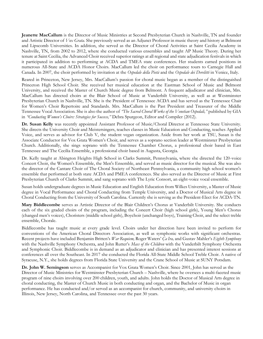**Jeanette MacCallum** is the Director of Music Ministries at Second Presbyterian Church in Nashville, TN and founder and Artistic Director of *Vox Grata.* She previously served as an Adjunct Professor in music theory and history at Belmont and Lipscomb Universities. In addition, she served as the Director of Choral Activities at Saint Cecilia Academy in Nashville, TN, from 2002 to 2012, where she conducted various ensembles and taught AP Music Theory. During her tenure at Saint Cecilia, the Advanced Choir received superior ratings at all regional and state adjudication festivals in which it participated in addition to performing at ACDA and TMEA state conferences. Her students earned positions in numerous All-State and ACDA Honor Choirs. MacCallum led the choir on performance tours to Carnegie Hall and Canada. In 2007, the choir performed by invitation at the *Ospedale della Pietà* and the *Ospedale dei Derelitti* in Venice, Italy.

Reared in Princeton, New Jersey, Mrs. MacCallum's passion for choral music began as a member of the distinguished Princeton High School Choir. She received her musical education at the Eastman School of Music and Belmont University, and received the Master of Church Music degree from Belmont. A frequent adjudicator and clinician, Mrs. MacCallum has directed choirs at the Blair School of Music at Vanderbilt University, as well as at Westminster Presbyterian Church in Nashville, TN. She is the President of Tennessee ACDA and has served as the Tennessee Chair for Women's Choir Repertoire and Standards. Mrs. MacCallum is the Past President and Treasurer of the Middle Tennessee Vocal Association. She is also the author of *"The Sacred Choral Works of the Venetian Ospedali,"* published by GIA in *"Conducting Women's Choirs: Strategies for Success,"* Debra Spurgeon, Editor and Compiler (2012).

**Dr. Susan Kelly** was recently appointed Assistant Professor of Music/Choral Director at Tennessee State University. She directs the University Choir and Meistersingers, teaches classes in Music Education and Conducting, teaches Applied Voice, and serves as advisor for Club V, the student vegan organization. Aside from her work at TSU, Susan is the Associate Conductor for Vox Grata Women's Choir, and serves as a soprano section leader at Westminster Presbyterian Church. Additionally, she sings soprano with the Tennessee Chamber Chorus, a professional choir based in East Tennessee and The Cecilia Ensemble, a professional choir based in Augusta, Georgia.

Dr. Kelly taught at Abington Heights High School in Clarks Summit, Pennsylvania, where she directed the 120-voice Concert Choir, the Women's Ensemble, the Men's Ensemble, and served as music director for the musical. She was also the director of the Cantare Choir of The Choral Society of Northeast Pennsylvania, a community high school women's ensemble that performed at both state ACDA and PMEA conferences. She also served as the Director of Music at First Presbyterian Church of Clarks Summit, and sang soprano with The Lyric Consort, an eight-voice vocal ensemble.

Susan holds undergraduate degrees in Music Education and English Education from Wilkes University, a Master of Music degree in Vocal Performance and Choral Conducting from Temple University, and a Doctor of Musical Arts degree in Choral Conducting from the University of South Carolina. Currently she is serving as the President-Elect for ACDA-TN.

**Mary Biddlecombe** serves as Artistic Director of the Blair Children's Chorus at Vanderbilt University. She conducts each of the six graded choirs of the program, including the Concert Choir (high school girls), Young Men's Chorus (changed men's voices), Choristers (middle school girls), Boychoir (unchanged boys), Training Choir, and the select treble ensemble, Chorale.

Biddlecombe has taught music at every grade level. Choirs under her direction have been invited to perform for conventions of the American Choral Directors Association, as well as symphonic works with significant orchestras. Recent projects have included Benjamin Britten's *War Requiem,* Roger Waters' *Ça Ira,* and Gustav Mahler's *Eighth Symphony* with the Nashville Symphony Orchestra, and John Rutter's *Mass of the Children* with the Vanderbilt Symphony Orchestra and Symphonic Choir. Biddlecombe is in demand as an adjudicator and clinician and has presented interest sessions at conferences all over the Southeast. In 2017 she conducted the Florida All-State Middle School Treble Choir. A native of Syracuse, N.Y., she holds degrees from Florida State University and the Crane School of Music at SUNY Potsdam.

**Dr. John W. Semingson** serves as Accompanist for Vox Grata Women's Choir. Since 2001, John has served as the Director of Music Ministries for Westminster Presbyterian Church – Nashville, where he oversees a multi-faceted music program of nine choirs involving over 200 children, youth, and adults. John holds the Doctor of Musical Arts degree in choral conducting, the Master of Church Music in both conducting and organ, and the Bachelor of Music in organ performance. He has conducted and/or served as an accompanist for church, community, and university choirs in Illinois, New Jersey, North Carolina, and Tennessee over the past 30 years.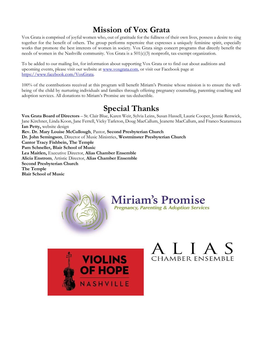## **Mission of Vox Grata**

Vox Grata is comprised of joyful women who, out of gratitude for the fullness of their own lives, possess a desire to sing together for the benefit of others. The group performs repertoire that expresses a uniquely feminine spirit, especially works that promote the best interests of women in society. Vox Grata sings concert programs that directly benefit the needs of women in the Nashville community. Vox Grata is a 501(c)(3) nonprofit, tax-exempt organization.

To be added to our mailing list, for information about supporting Vox Grata or to find out about auditions and upcoming events, please visit our website at [www.voxgrata.com,](http://www.voxgrata.com/) or visit our Facebook page at [https://www.facebook.com/VoxGrata.](https://www.facebook.com/VoxGrata)

100% of the contributions received at this program will benefit Miriam's Promise whose mission is to ensure the wellbeing of the child by nurturing individuals and families through offering pregnancy counseling, parenting coaching and adoption services. All donations to Miriam's Promise are tax-deductible.

### **Special Thanks**

**Vox Grata Board of Directors** – St. Clair Blue, Karen Weir, Sylvia Leins, Susan Hassell, Laurie Cooper, Jennie Renwick, Jane Kirchner, Linda Koon, Jane Ferrell, Vicky Tarleton, Doug MacCallum, Jeanette MacCallum, and Franco Scaramuzza **Ian Petty,** website design **Rev. Dr. Mary Louise McCullough**, Pastor, **Second Presbyterian Church Dr. John Semingson**, Director of Music Ministries, **Westminster Presbyterian Church Cantor Tracy Fishbein, The Temple Pam Schneller, Blair School of Music Lea Maitlen,** Executive Director, **Alias Chamber Ensemble Alicia Enstrom**, Artistic Director, **Alias Chamber Ensemble Second Presbyterian Church The Temple Blair School of Music**



**Miriam's Promise Pregnancy, Parenting & Adoption Services** 



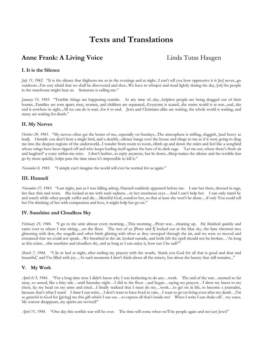### **Texts and Translations**

### **Anne Frank: A Living Voice** Linda Tutas Haugen

#### **I. It is the Silence**

*July 11, 1942.* "It is the silence that frightens me so in the evenings and at night...I can't tell you how oppressive it is [to] never...go outdoors...I'm very afraid that we shall be discovered and shot...We have to whisper and tread lightly during the day, [or] the people in the warehouse might hear us. Someone is calling me."

*January 13, 1943.* "Terrible things are happening outside. At any time of...day...helpless people are being dragged out of their homes...Families are torn apart; men, women, and children are separated...Everyone is scared...the entire world is at war...and...the end is nowhere in sight...All we can do is wait...for it to end. Jews and Christians alike are waiting, the whole world is waiting, and many are waiting for death."

#### **II. My Nerves**

*October 29, 1943.* "My nerves often get the better of me, especially on Sundays...The atmosphere is stifling, sluggish, [and heavy as lead]. Outside you don't hear a single bird, and a deathly...silence hangs over the house and clings to me as if it were going to drag me into the deepest regions of the underworld...I wander from room to room, climb up and down the stairs and feel like a songbird whose wings have been ripped off and who keeps hurling itself against the bars of its dark cage. 'Let me out, where there's fresh air and laughter!' a voice within me cries. I don't bother...to reply anymore, but lie down...Sleep makes the silence and the terrible fear go by more quickly, helps pass the time since it's impossible to kill it."

*November 8, 1943.* "I simply can't imagine the world will ever be normal for us again."

#### **III. Hanneli**

*November 27, 1943.* "Last night, just as I was falling asleep, Hanneli suddenly appeared before me. I saw her there, dressed in rags, her face thin and worn. She looked at me with such sadness…in her enormous eyes…And I can't help her. I can only stand by and watch while other people suffer and die…Merciful God, comfort her, so that at least she won't be alone…if only You could tell her I'm thinking of her with compassion and love, it might help her go on."

#### **IV. Sunshine and Cloudless Sky**

*February 23, 1944.* "I go to the attic almost every morning…This morning…Peter was…cleaning up. He finished quickly and came over to where I was sitting…on the floor. The two of us [Peter and I] looked out at the blue sky, the bare chestnut tree glistening with dew, the seagulls and other birds glinting with silver as they swooped through the air, and we were so moved and entranced that we could not speak…We breathed in the air, looked outside, and both felt the spell should not be broken…'As long as this exists…this sunshine and cloudless sky, and as long as I can enjoy it, how can I be sad?'"

*March 7, 1944.* "I lie in bed at night, after ending my prayers with the words, 'thank you God for all that is good and dear and beautiful,' and I'm filled with joy...At such moments I don't think about all the misery, but about the beauty that still remains..."

#### **V. My Work**

*April 4/5, 1944.* "For a long time now I didn't know why I was bothering to do any…work. The end of the war…seemed so far away, so unreal, like a fairy tale…until Saturday night…I slid to the floor…and began…saying my prayers…I drew my knees to my chest, lay my head on my arms and cried…I finally realized that I must do my…work…to get on in life, to become a journalist, because that's what I want! I *know* I can write…I don't want to have lived in vain…I want to go on living even after my death…I'm so grateful to God for [giving] me this gift which I can use…to express all that's inside me! When I write I can shake off…my cares. My sorrow disappears, my spirits are revived!"

*April 11, 1944.* "One day this terrible war will be over. The time will come when we'll be people again and not just Jews!"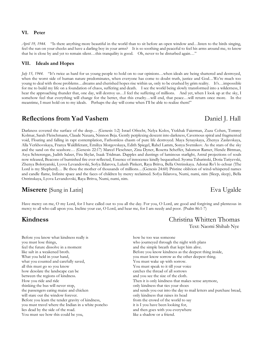#### **VI. Peter**

*April 19, 1944.* "Is there anything more beautiful in the world than to sit before an open window and…listen to the birds singing, feel the sun on your cheeks and have a darling boy in your arms? It is so soothing and peaceful to feel his arms around me, to know that he is close by and yet to remain silent…this tranquility is good. Oh, never to be disturbed again…"

#### **VII. Ideals and Hopes**

*July 15, 1944.* "It's twice as hard for us young people to hold on to our opinions...when ideals are being shattered and destroyed, when the worst side of human nature predominates, when everyone has come to doubt truth, justice and God...We're much too young to deal with those problems…dreams and cherished hopes rise within us, only to be crushed by grim reality. It's…impossible for me to build my life on a foundation of chaos, suffering and death. I see the world being slowly transformed into a wilderness, I hear the approaching thunder that, one day, will destroy us…I feel the suffering of millions. And yet, when I look up at the sky, I somehow feel that everything will change for the better, that this cruelty…will end, that peace…will return once more. In the meantime, I must hold on to my ideals. Perhaps the day will come when I'll be able to realize them!"

### **Reflections from Yad Vashem** Daniel J. Hall

Darkness covered the surface of the deep… (Genesis 1:2) Israel Ofrecht, Nelya Kolos, Ytzkhak Faierman, Zuza Cohen, Tommy Kolmar, Sarah Fleischmann, Claude Naxara, Ninnon Beja. Gently perplexing descent into darkness, Cavernous spiral and fragmented void, Floating and falling in rapt contemplation, Fathomless chasm of pure life destroyed. Maya Synayskaya, Zhenya Zaslavskaya, Alla Verkhovskaya, Franya Waldliferant, Emiliya Morgovskaya, Edith Spiegel, Rahel Lamm, Sonya Svetnikov. As the stars of the sky and the sand on the seashore… (Genesis 22:17) Marcel Fleschner, Zina Dyner, Rosetta Scheffer, Salomon Ramer, Hende Bittman, Asya Schterengas, Judith Salzer, Fira Skylar, Isaak Tridman. Dapples and dustings of luminous starlight, Astral projections of souls now released, Beacons of burnished fire ever reflected, Essence of innocence kindly bequeathed. Syoma Tabarinski, Dotia Tatiyevski, Zhenya Bolotyanski, Lyova Levandovski, Sofya Ildarova, Lulush Pinkert, Raya Britva, Bella Ostrinskaya. Adonai Ro'i lo echsar (The Lord is my Shepherd)… Be thou the mother of thousands of millions…(Genesis 24:60) Pristine oblivion of wind-whispered names and candle flame, Infinite space and the faces of children by mercy reclaimed. Sofya Ildarova, Numi, numi, nim (Sleep, sleep), Bella Ostrinskaya, Lyova Levandovski, Raya Britva, Numi, numi, nim.

### **Miserere** [Sung in Latin] Eva Ugalde

Have mercy on me, O my Lord, for I have called out to you all the day. For you, O Lord, are good and forgiving and plenteous in mercy to all who call upon you. Incline your ear, O Lord, and hear me, for I am needy and poor. (Psalm 86:1-7)

Before you know what kindness really is you must lose things, feel the future dissolve in a moment like salt in a weakened broth. What you held in your hand, what you counted and carefully saved, all this must go so you know how desolate the landscape can be between the regions of kindness. How you ride and ride thinking the bus will never stop, the passengers eating maize and chicken will stare out the window forever. Before you learn the tender gravity of kindness, you must travel where the Indian in a white poncho lies dead by the side of the road. You must see how this could be you,

#### **Kindness** Christina Whitten Thomas Text: Naomi Shihab Nye

how he too was someone who journeyed through the night with plans and the simple breath that kept him alive. Before you know kindness as the deepest thing inside, you must know sorrow as the other deepest thing. You must wake up with sorrow. You must speak to it till your voice catches the thread of all sorrows and you see the size of the cloth. Then it is only kindness that makes sense anymore, only kindness that ties your shoes and sends you out into the day to mail letters and purchase bread, only kindness that raises its head from the crowd of the world to say it is I you have been looking for, and then goes with you everywhere like a shadow or a friend.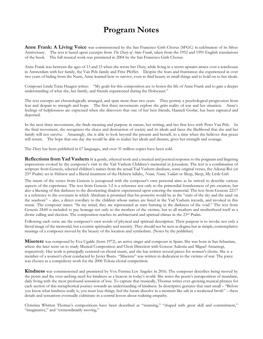### **Program Notes**

**Anne Frank: A Living Voice** was commissioned by the San Francisco Girls Chorus (SFGC) in celebration of its Silver Anniversary. The text is based upon excerpts from *The Diary of Anne Frank*, taken from the 1952 and 1991 English translations of the book. The full musical work was premiered in 2004 by the San Francisco Girls Chorus.

Anne Frank was between the ages of 13 and 15 when she wrote her *Diary*, while living in a secret upstairs annex over a warehouse in Amsterdam with her family, the Van Pels family and Fritz Pfeffer. Despite the fears and frustration she experienced in over two years of hiding from the Nazis, Anne learned how to survive, even to find beauty in small things and to hold on to her ideals.

Composer Linda Tutas Haugen writes: "My goals for this composition are to honor the life of Anne Frank and to gain a deeper understanding of what she, her family, and friends experienced during the Holocaust."

The text excerpts are chronologically arranged, and span more than two years. They portray a psychological progression from fear and despair to strength and hope. The first three movements explore the grim reality of war and her situation. Anne's feelings of helplessness are expressed when she discovers that one of her best friends, Hanneli Goslar, has been captured and deported.

In the next three movements, she finds meaning and purpose in nature, her writing, and her first love with Peter Van Pels. In the final movement, she recognizes the chaos and destruction of society and its ideals and faces the likelihood that she and her family will not survive. Amazingly, she is able to look beyond the present and herself, to a time when she believes that peace will return. The hope that one day she would be able to realize her ideals and dreams, gives her strength and courage.

The *Diary* has been published in 67 languages, and over 31 million copies have been sold.

**Reflections from Yad Vashem** is a gentle, ethereal work and a musical and poetical response to the poignant and lingering impressions evoked by the composer's visit to the Yad Vashem Children's memorial in Jerusalem. The text is a combination of scripture from Genesis, selected children's names from the actual Yad Vashem database, some original verses, the Adonai Roi (or 23rd Psalm) set in Hebrew and a liberal treatment of the Hebrew lullaby, *Numi, Numi, Yaldati* or Sleep, Sleep, My Little Girl.

The intent of the verses from Genesis is juxtaposed with the composer's own personal aims as he strived to describe various aspects of the experience. The text from Genesis 1:2 is a reference not only to the primordial formlessness of pre-creation, but also a likening of this darkness to the disorienting shadow experienced upon entering the memorial. The text from Genesis 22:17 is a reference to the covenant in which Abraham is promised that his posterity would be as the "stars of the sky and the sand on the seashore" – also, a direct corollary to the children whose names are listed in the Yad Vashem records, and invoked in this music. The composer states: "In my mind, they are represented as stars burning in the darkness of the void." The text from Genesis 24:60 is included to pay homage not only to the mothers of the victims, but to all mothers and motherhood itself as a divine calling and election. The composition reaches its architectural and spiritual climax in the 23<sup>rd</sup> Psalm.

Following each verse are the composer's own words of physical and spiritual description. Their purpose is to invoke not only a literal image of the memorial, but a cosmic spirituality and serenity. They should not be seen as dogma but as simple, contemplative musings of a composer moved by the beauty of the location and symbolism. (Notes by the publisher)

**Miserere** was composed by Eva Ugalde (born 1972), an active singer and composer in Spain. She was born in San Sebastian, where she later went on to study Musical Composition and Choir Direction with Gotzon Aulestia and Miguel Amantegi, respectively. Her work is principally centered on choral music, and she has written several pieces for women's choirs. She is a member of a women's choir conducted by Javier Busto. "Miserere" was written in dedication to the victims of war. The piece was chosen as a compulsory work for the 2006 Tolosa choral competition.

**Kindness** was commissioned and premiered by Vox Femina Los Angeles in 2016. The composer describes being moved by the poem and the over-arching need for kindness as a beacon in today's world. She notes the poem's juxtaposition of mundane, daily living with the most profound sensation of loss. To capture that musically, Thomas writes ever-growing musical phrases for each section of this metaphorical journey towards an understanding of kindness. In descriptive gestures that start small – "Before you know what kindness really is, you must lose things, feel the future dissolve in a moment like salt in a weakened broth" – these details and sensations eventually culminate in a central lesson about realizing empathy.

Christina Whitten Thomas's compositions have been described as "stunning," "shaped with great skill and commitment," "imaginative," and "extraordinarily moving."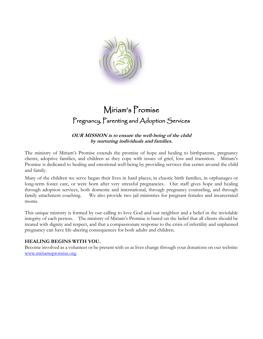

## Miriam's Promise Pregnancy, Parenting and Adoption Services

#### **OUR MISSION is to ensure the well-being of the child by nurturing individuals and families.**

The ministry of Miriam's Promise extends the promise of hope and healing to birthparents, pregnancy clients, adoptive families, and children as they cope with issues of grief, loss and transition. Miriam's Promise is dedicated to healing and emotional well-being by providing services that center around the child and family.

Many of the children we serve began their lives in hard places; in chaotic birth families, in orphanages or long-term foster care, or were born after very stressful pregnancies. Our staff gives hope and healing through adoption services, both domestic and international, through pregnancy counseling, and through family attachment coaching. We also provide two jail ministries for pregnant females and incarcerated moms.

This unique ministry is formed by our calling to love God and our neighbor and a belief in the inviolable integrity of each person. The ministry of Miriam's Promise is based on the belief that all clients should be treated with dignity and respect, and that a compassionate response to the crisis of infertility and unplanned pregnancy can have life-altering consequences for both adults and children.

#### **HEALING BEGINS WITH YOU.**

Become involved as a volunteer or be present with us as lives change through your donations on our website: [www.miriamspromise.org.](http://www.miriamspromise.org/)